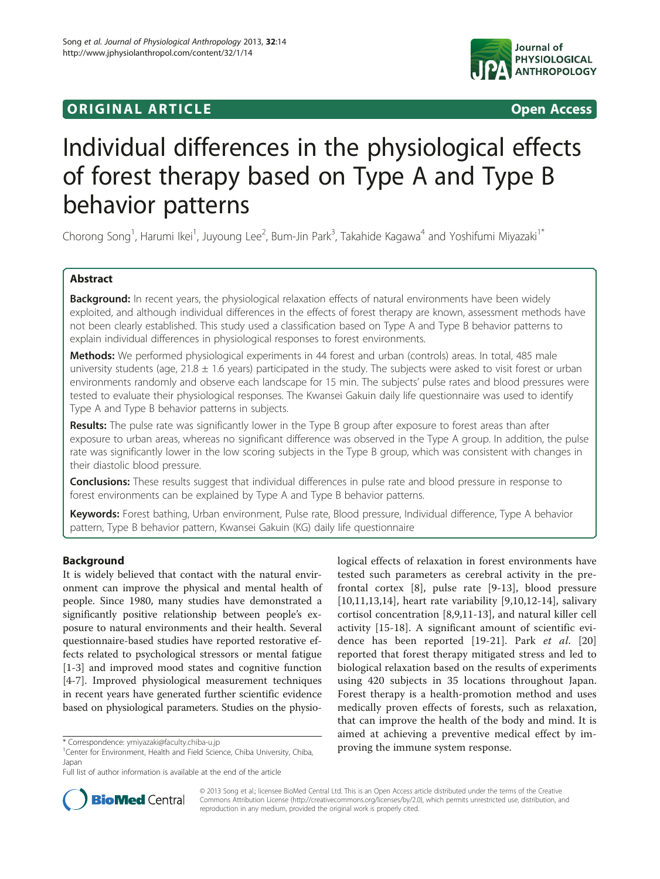# **ORIGINAL ARTICLE CONSUMING A LIGACION** CONSUMING A LIGACION CONSUMING A LIGACION CONSUMING A LIGACION CONSUMING A LIGACION CONSUMING A LIGACION CONSUMING A LIGACION CONSUMING A LIGACION CONSUMING A LIGACION CONSUMING A



# Individual differences in the physiological effects of forest therapy based on Type A and Type B behavior patterns

Chorong Song<sup>1</sup>, Harumi Ikei<sup>1</sup>, Juyoung Lee<sup>2</sup>, Bum-Jin Park<sup>3</sup>, Takahide Kagawa<sup>4</sup> and Yoshifumi Miyazaki<sup>1\*</sup>

# Abstract

Background: In recent years, the physiological relaxation effects of natural environments have been widely exploited, and although individual differences in the effects of forest therapy are known, assessment methods have not been clearly established. This study used a classification based on Type A and Type B behavior patterns to explain individual differences in physiological responses to forest environments.

Methods: We performed physiological experiments in 44 forest and urban (controls) areas. In total, 485 male university students (age,  $21.8 \pm 1.6$  years) participated in the study. The subjects were asked to visit forest or urban environments randomly and observe each landscape for 15 min. The subjects' pulse rates and blood pressures were tested to evaluate their physiological responses. The Kwansei Gakuin daily life questionnaire was used to identify Type A and Type B behavior patterns in subjects.

Results: The pulse rate was significantly lower in the Type B group after exposure to forest areas than after exposure to urban areas, whereas no significant difference was observed in the Type A group. In addition, the pulse rate was significantly lower in the low scoring subjects in the Type B group, which was consistent with changes in their diastolic blood pressure.

Conclusions: These results suggest that individual differences in pulse rate and blood pressure in response to forest environments can be explained by Type A and Type B behavior patterns.

Keywords: Forest bathing, Urban environment, Pulse rate, Blood pressure, Individual difference, Type A behavior pattern, Type B behavior pattern, Kwansei Gakuin (KG) daily life questionnaire

# Background

It is widely believed that contact with the natural environment can improve the physical and mental health of people. Since 1980, many studies have demonstrated a significantly positive relationship between people's exposure to natural environments and their health. Several questionnaire-based studies have reported restorative effects related to psychological stressors or mental fatigue [[1-3](#page-5-0)] and improved mood states and cognitive function [[4-7](#page-5-0)]. Improved physiological measurement techniques in recent years have generated further scientific evidence based on physiological parameters. Studies on the physio-

logical effects of relaxation in forest environments have tested such parameters as cerebral activity in the prefrontal cortex [[8](#page-5-0)], pulse rate [[9-13\]](#page-5-0), blood pressure [[10,11,13](#page-5-0),[14\]](#page-5-0), heart rate variability [[9,10,12](#page-5-0)-14], salivary cortisol concentration [[8,9,11](#page-5-0)-[13](#page-5-0)], and natural killer cell activity [[15-18\]](#page-5-0). A significant amount of scientific evi-dence has been reported [[19-21](#page-5-0)]. Park et al. [\[20](#page-5-0)] reported that forest therapy mitigated stress and led to biological relaxation based on the results of experiments using 420 subjects in 35 locations throughout Japan. Forest therapy is a health-promotion method and uses medically proven effects of forests, such as relaxation, that can improve the health of the body and mind. It is aimed at achieving a preventive medical effect by im\* Correspondence: [ymiyazaki@faculty.chiba-u.jp](mailto:ymiyazaki@faculty.chiba-u.jp)<br><sup>1</sup>Center for Environment Health and Field Science Chiba University. Chiba 1**proving the immune system response.** 



© 2013 Song et al.; licensee BioMed Central Ltd. This is an Open Access article distributed under the terms of the Creative Commons Attribution License [\(http://creativecommons.org/licenses/by/2.0\)](http://creativecommons.org/licenses/by/2.0), which permits unrestricted use, distribution, and reproduction in any medium, provided the original work is properly cited.

<sup>&</sup>lt;sup>1</sup> Center for Environment, Health and Field Science, Chiba University, Chiba, Japan

Full list of author information is available at the end of the article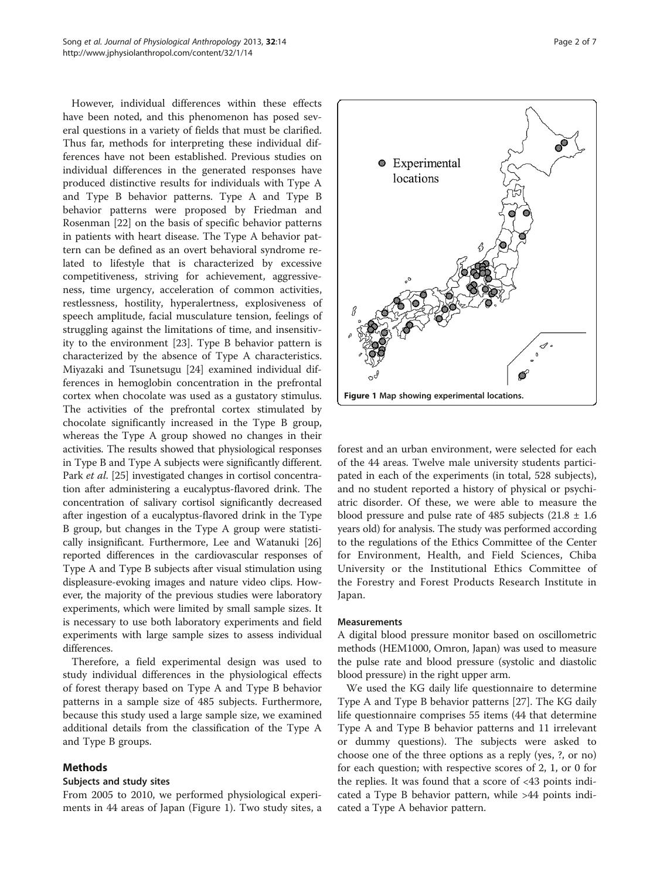However, individual differences within these effects have been noted, and this phenomenon has posed several questions in a variety of fields that must be clarified. Thus far, methods for interpreting these individual differences have not been established. Previous studies on individual differences in the generated responses have produced distinctive results for individuals with Type A and Type B behavior patterns. Type A and Type B behavior patterns were proposed by Friedman and Rosenman [[22\]](#page-5-0) on the basis of specific behavior patterns in patients with heart disease. The Type A behavior pattern can be defined as an overt behavioral syndrome related to lifestyle that is characterized by excessive competitiveness, striving for achievement, aggressiveness, time urgency, acceleration of common activities, restlessness, hostility, hyperalertness, explosiveness of speech amplitude, facial musculature tension, feelings of struggling against the limitations of time, and insensitivity to the environment [[23\]](#page-5-0). Type B behavior pattern is characterized by the absence of Type A characteristics. Miyazaki and Tsunetsugu [\[24\]](#page-5-0) examined individual differences in hemoglobin concentration in the prefrontal cortex when chocolate was used as a gustatory stimulus. The activities of the prefrontal cortex stimulated by chocolate significantly increased in the Type B group, whereas the Type A group showed no changes in their activities. The results showed that physiological responses in Type B and Type A subjects were significantly different. Park *et al.* [[25](#page-6-0)] investigated changes in cortisol concentration after administering a eucalyptus-flavored drink. The concentration of salivary cortisol significantly decreased after ingestion of a eucalyptus-flavored drink in the Type B group, but changes in the Type A group were statistically insignificant. Furthermore, Lee and Watanuki [[26](#page-6-0)] reported differences in the cardiovascular responses of Type A and Type B subjects after visual stimulation using displeasure-evoking images and nature video clips. However, the majority of the previous studies were laboratory experiments, which were limited by small sample sizes. It is necessary to use both laboratory experiments and field experiments with large sample sizes to assess individual differences.

Therefore, a field experimental design was used to study individual differences in the physiological effects of forest therapy based on Type A and Type B behavior patterns in a sample size of 485 subjects. Furthermore, because this study used a large sample size, we examined additional details from the classification of the Type A and Type B groups.

# Methods

# Subjects and study sites

From 2005 to 2010, we performed physiological experiments in 44 areas of Japan (Figure 1). Two study sites, a



forest and an urban environment, were selected for each of the 44 areas. Twelve male university students participated in each of the experiments (in total, 528 subjects), and no student reported a history of physical or psychiatric disorder. Of these, we were able to measure the blood pressure and pulse rate of 485 subjects  $(21.8 \pm 1.6)$ years old) for analysis. The study was performed according to the regulations of the Ethics Committee of the Center for Environment, Health, and Field Sciences, Chiba University or the Institutional Ethics Committee of the Forestry and Forest Products Research Institute in Japan.

# Measurements

A digital blood pressure monitor based on oscillometric methods (HEM1000, Omron, Japan) was used to measure the pulse rate and blood pressure (systolic and diastolic blood pressure) in the right upper arm.

We used the KG daily life questionnaire to determine Type A and Type B behavior patterns [[27](#page-6-0)]. The KG daily life questionnaire comprises 55 items (44 that determine Type A and Type B behavior patterns and 11 irrelevant or dummy questions). The subjects were asked to choose one of the three options as a reply (yes, ?, or no) for each question; with respective scores of 2, 1, or 0 for the replies. It was found that a score of <43 points indicated a Type B behavior pattern, while >44 points indicated a Type A behavior pattern.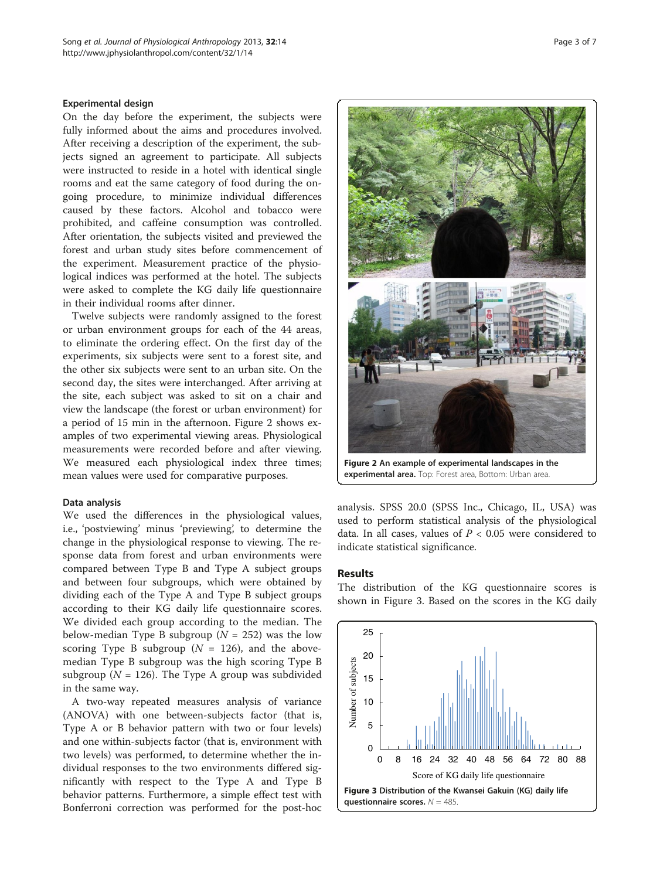## Experimental design

On the day before the experiment, the subjects were fully informed about the aims and procedures involved. After receiving a description of the experiment, the subjects signed an agreement to participate. All subjects were instructed to reside in a hotel with identical single rooms and eat the same category of food during the ongoing procedure, to minimize individual differences caused by these factors. Alcohol and tobacco were prohibited, and caffeine consumption was controlled. After orientation, the subjects visited and previewed the forest and urban study sites before commencement of the experiment. Measurement practice of the physiological indices was performed at the hotel. The subjects were asked to complete the KG daily life questionnaire in their individual rooms after dinner.

Twelve subjects were randomly assigned to the forest or urban environment groups for each of the 44 areas, to eliminate the ordering effect. On the first day of the experiments, six subjects were sent to a forest site, and the other six subjects were sent to an urban site. On the second day, the sites were interchanged. After arriving at the site, each subject was asked to sit on a chair and view the landscape (the forest or urban environment) for a period of 15 min in the afternoon. Figure 2 shows examples of two experimental viewing areas. Physiological measurements were recorded before and after viewing. We measured each physiological index three times; mean values were used for comparative purposes.

#### Data analysis

We used the differences in the physiological values, i.e., 'postviewing' minus 'previewing', to determine the change in the physiological response to viewing. The response data from forest and urban environments were compared between Type B and Type A subject groups and between four subgroups, which were obtained by dividing each of the Type A and Type B subject groups according to their KG daily life questionnaire scores. We divided each group according to the median. The below-median Type B subgroup ( $N = 252$ ) was the low scoring Type B subgroup ( $N = 126$ ), and the abovemedian Type B subgroup was the high scoring Type B subgroup ( $N = 126$ ). The Type A group was subdivided in the same way.

A two-way repeated measures analysis of variance (ANOVA) with one between-subjects factor (that is, Type A or B behavior pattern with two or four levels) and one within-subjects factor (that is, environment with two levels) was performed, to determine whether the individual responses to the two environments differed significantly with respect to the Type A and Type B behavior patterns. Furthermore, a simple effect test with Bonferroni correction was performed for the post-hoc



Figure 2 An example of experimental landscapes in the experimental area. Top: Forest area, Bottom: Urban area.

analysis. SPSS 20.0 (SPSS Inc., Chicago, IL, USA) was used to perform statistical analysis of the physiological data. In all cases, values of  $P < 0.05$  were considered to indicate statistical significance.

# **Results**

The distribution of the KG questionnaire scores is shown in Figure 3. Based on the scores in the KG daily

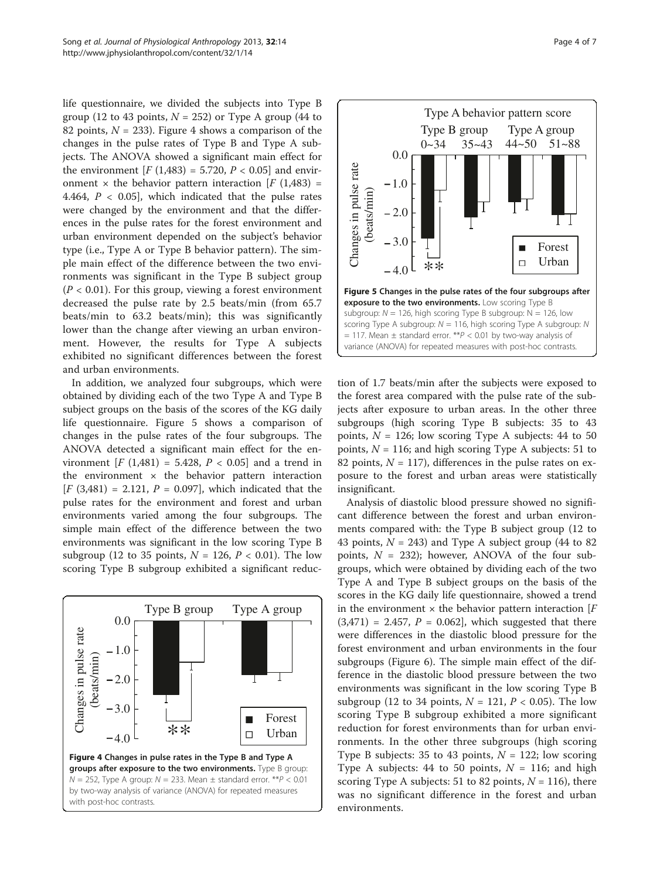life questionnaire, we divided the subjects into Type B group (12 to 43 points,  $N = 252$ ) or Type A group (44 to 82 points,  $N = 233$ ). Figure 4 shows a comparison of the changes in the pulse rates of Type B and Type A subjects. The ANOVA showed a significant main effect for the environment  $[F (1,483) = 5.720, P < 0.05]$  and environment  $\times$  the behavior pattern interaction [F (1,483) = 4.464,  $P < 0.05$ , which indicated that the pulse rates were changed by the environment and that the differences in the pulse rates for the forest environment and urban environment depended on the subject's behavior type (i.e., Type A or Type B behavior pattern). The simple main effect of the difference between the two environments was significant in the Type B subject group  $(P < 0.01)$ . For this group, viewing a forest environment decreased the pulse rate by 2.5 beats/min (from 65.7 beats/min to 63.2 beats/min); this was significantly lower than the change after viewing an urban environment. However, the results for Type A subjects exhibited no significant differences between the forest and urban environments.

In addition, we analyzed four subgroups, which were obtained by dividing each of the two Type A and Type B subject groups on the basis of the scores of the KG daily life questionnaire. Figure 5 shows a comparison of changes in the pulse rates of the four subgroups. The ANOVA detected a significant main effect for the environment  $[F (1,481) = 5.428, P < 0.05]$  and a trend in the environment  $\times$  the behavior pattern interaction  $[F (3,481) = 2.121, P = 0.097]$ , which indicated that the pulse rates for the environment and forest and urban environments varied among the four subgroups. The simple main effect of the difference between the two environments was significant in the low scoring Type B subgroup (12 to 35 points,  $N = 126$ ,  $P < 0.01$ ). The low scoring Type B subgroup exhibited a significant reduc-





tion of 1.7 beats/min after the subjects were exposed to the forest area compared with the pulse rate of the subjects after exposure to urban areas. In the other three subgroups (high scoring Type B subjects: 35 to 43 points,  $N = 126$ ; low scoring Type A subjects: 44 to 50 points,  $N = 116$ ; and high scoring Type A subjects: 51 to 82 points,  $N = 117$ ), differences in the pulse rates on exposure to the forest and urban areas were statistically insignificant.

Analysis of diastolic blood pressure showed no significant difference between the forest and urban environments compared with: the Type B subject group (12 to 43 points,  $N = 243$ ) and Type A subject group (44 to 82) points,  $N = 232$ ); however, ANOVA of the four subgroups, which were obtained by dividing each of the two Type A and Type B subject groups on the basis of the scores in the KG daily life questionnaire, showed a trend in the environment  $\times$  the behavior pattern interaction [ $F$  $(3,471) = 2.457$ ,  $P = 0.062$ , which suggested that there were differences in the diastolic blood pressure for the forest environment and urban environments in the four subgroups (Figure [6\)](#page-4-0). The simple main effect of the difference in the diastolic blood pressure between the two environments was significant in the low scoring Type B subgroup (12 to 34 points,  $N = 121$ ,  $P < 0.05$ ). The low scoring Type B subgroup exhibited a more significant reduction for forest environments than for urban environments. In the other three subgroups (high scoring Type B subjects: 35 to 43 points,  $N = 122$ ; low scoring Type A subjects: 44 to 50 points,  $N = 116$ ; and high scoring Type A subjects: 51 to 82 points,  $N = 116$ ), there was no significant difference in the forest and urban environments.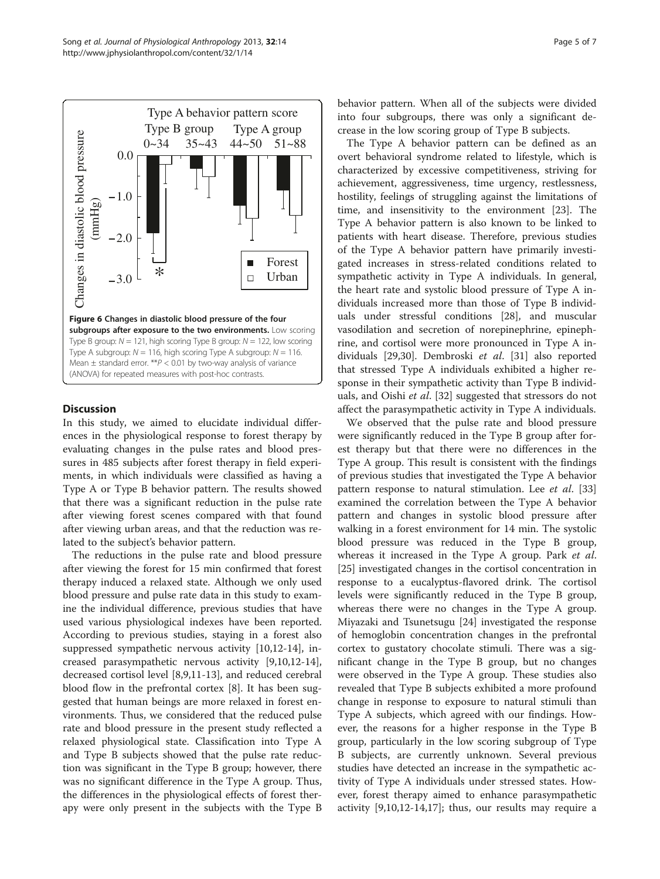<span id="page-4-0"></span>

# Discussion

In this study, we aimed to elucidate individual differences in the physiological response to forest therapy by evaluating changes in the pulse rates and blood pressures in 485 subjects after forest therapy in field experiments, in which individuals were classified as having a Type A or Type B behavior pattern. The results showed that there was a significant reduction in the pulse rate after viewing forest scenes compared with that found after viewing urban areas, and that the reduction was related to the subject's behavior pattern.

The reductions in the pulse rate and blood pressure after viewing the forest for 15 min confirmed that forest therapy induced a relaxed state. Although we only used blood pressure and pulse rate data in this study to examine the individual difference, previous studies that have used various physiological indexes have been reported. According to previous studies, staying in a forest also suppressed sympathetic nervous activity [[10,12-14\]](#page-5-0), increased parasympathetic nervous activity [[9,10,12-14](#page-5-0)], decreased cortisol level [\[8,9,11](#page-5-0)-[13\]](#page-5-0), and reduced cerebral blood flow in the prefrontal cortex [\[8\]](#page-5-0). It has been suggested that human beings are more relaxed in forest environments. Thus, we considered that the reduced pulse rate and blood pressure in the present study reflected a relaxed physiological state. Classification into Type A and Type B subjects showed that the pulse rate reduction was significant in the Type B group; however, there was no significant difference in the Type A group. Thus, the differences in the physiological effects of forest therapy were only present in the subjects with the Type B

behavior pattern. When all of the subjects were divided into four subgroups, there was only a significant decrease in the low scoring group of Type B subjects.

The Type A behavior pattern can be defined as an overt behavioral syndrome related to lifestyle, which is characterized by excessive competitiveness, striving for achievement, aggressiveness, time urgency, restlessness, hostility, feelings of struggling against the limitations of time, and insensitivity to the environment [\[23](#page-5-0)]. The Type A behavior pattern is also known to be linked to patients with heart disease. Therefore, previous studies of the Type A behavior pattern have primarily investigated increases in stress-related conditions related to sympathetic activity in Type A individuals. In general, the heart rate and systolic blood pressure of Type A individuals increased more than those of Type B individuals under stressful conditions [\[28\]](#page-6-0), and muscular vasodilation and secretion of norepinephrine, epinephrine, and cortisol were more pronounced in Type A individuals [\[29,30](#page-6-0)]. Dembroski et al. [[31\]](#page-6-0) also reported that stressed Type A individuals exhibited a higher response in their sympathetic activity than Type B individuals, and Oishi et al. [[32\]](#page-6-0) suggested that stressors do not affect the parasympathetic activity in Type A individuals.

We observed that the pulse rate and blood pressure were significantly reduced in the Type B group after forest therapy but that there were no differences in the Type A group. This result is consistent with the findings of previous studies that investigated the Type A behavior pattern response to natural stimulation. Lee et al. [[33](#page-6-0)] examined the correlation between the Type A behavior pattern and changes in systolic blood pressure after walking in a forest environment for 14 min. The systolic blood pressure was reduced in the Type B group, whereas it increased in the Type A group. Park et al. [[25\]](#page-6-0) investigated changes in the cortisol concentration in response to a eucalyptus-flavored drink. The cortisol levels were significantly reduced in the Type B group, whereas there were no changes in the Type A group. Miyazaki and Tsunetsugu [[24](#page-5-0)] investigated the response of hemoglobin concentration changes in the prefrontal cortex to gustatory chocolate stimuli. There was a significant change in the Type B group, but no changes were observed in the Type A group. These studies also revealed that Type B subjects exhibited a more profound change in response to exposure to natural stimuli than Type A subjects, which agreed with our findings. However, the reasons for a higher response in the Type B group, particularly in the low scoring subgroup of Type B subjects, are currently unknown. Several previous studies have detected an increase in the sympathetic activity of Type A individuals under stressed states. However, forest therapy aimed to enhance parasympathetic activity [\[9,10,12](#page-5-0)-[14,17\]](#page-5-0); thus, our results may require a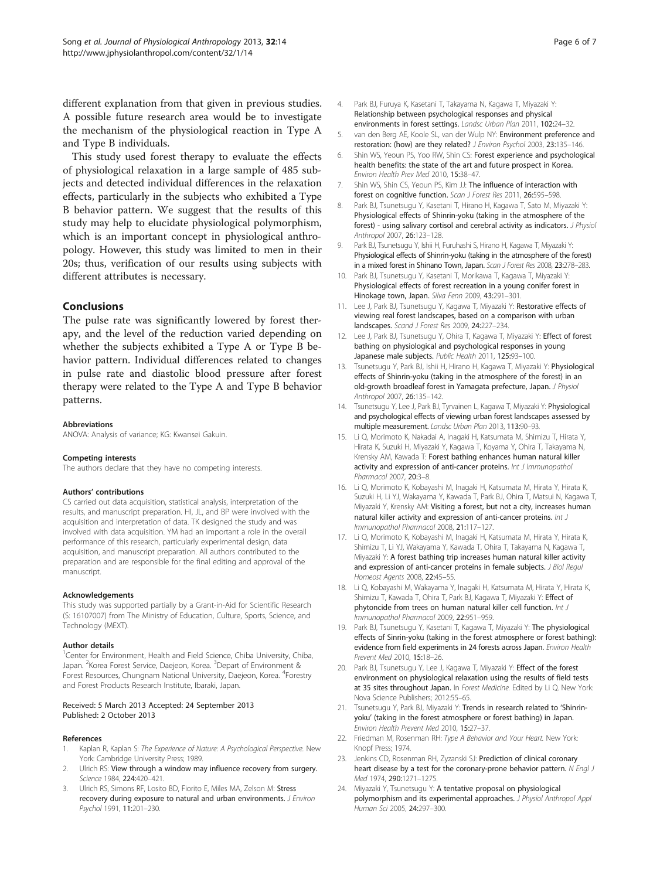<span id="page-5-0"></span>different explanation from that given in previous studies. A possible future research area would be to investigate the mechanism of the physiological reaction in Type A and Type B individuals.

This study used forest therapy to evaluate the effects of physiological relaxation in a large sample of 485 subjects and detected individual differences in the relaxation effects, particularly in the subjects who exhibited a Type B behavior pattern. We suggest that the results of this study may help to elucidate physiological polymorphism, which is an important concept in physiological anthropology. However, this study was limited to men in their 20s; thus, verification of our results using subjects with different attributes is necessary.

# Conclusions

The pulse rate was significantly lowered by forest therapy, and the level of the reduction varied depending on whether the subjects exhibited a Type A or Type B behavior pattern. Individual differences related to changes in pulse rate and diastolic blood pressure after forest therapy were related to the Type A and Type B behavior patterns.

#### Abbreviations

ANOVA: Analysis of variance; KG: Kwansei Gakuin.

#### Competing interests

The authors declare that they have no competing interests.

## Authors' contributions

CS carried out data acquisition, statistical analysis, interpretation of the results, and manuscript preparation. HI, JL, and BP were involved with the acquisition and interpretation of data. TK designed the study and was involved with data acquisition. YM had an important a role in the overall performance of this research, particularly experimental design, data acquisition, and manuscript preparation. All authors contributed to the preparation and are responsible for the final editing and approval of the manuscript.

#### Acknowledgements

This study was supported partially by a Grant-in-Aid for Scientific Research (S: 16107007) from The Ministry of Education, Culture, Sports, Science, and Technology (MEXT).

#### Author details

<sup>1</sup>Center for Environment, Health and Field Science, Chiba University, Chiba, Japan. <sup>2</sup>Korea Forest Service, Daejeon, Korea. <sup>3</sup>Depart of Environment & Forest Resources, Chungnam National University, Daejeon, Korea. <sup>4</sup>Forestry and Forest Products Research Institute, Ibaraki, Japan.

#### Received: 5 March 2013 Accepted: 24 September 2013 Published: 2 October 2013

#### References

- Kaplan R, Kaplan S: The Experience of Nature: A Psychological Perspective. New York: Cambridge University Press; 1989.
- 2. Ulrich RS: View through a window may influence recovery from surgery. Science 1984, 224:420–421.
- 3. Ulrich RS, Simons RF, Losito BD, Fiorito E, Miles MA, Zelson M: Stress recovery during exposure to natural and urban environments. J Environ Psychol 1991, 11:201–230.
- 4. Park BJ, Furuya K, Kasetani T, Takayama N, Kagawa T, Miyazaki Y: Relationship between psychological responses and physical environments in forest settings. Landsc Urban Plan 2011, 102:24–32.
- 5. van den Berg AE, Koole SL, van der Wulp NY: Environment preference and restoration: (how) are they related? J Environ Psychol 2003, 23:135–146.
- 6. Shin WS, Yeoun PS, Yoo RW, Shin CS: Forest experience and psychological health benefits: the state of the art and future prospect in Korea. Environ Health Prev Med 2010, 15:38–47.
- 7. Shin WS, Shin CS, Yeoun PS, Kim JJ: The influence of interaction with forest on cognitive function. Scan J Forest Res 2011, 26:595-598.
- 8. Park BJ, Tsunetsugu Y, Kasetani T, Hirano H, Kagawa T, Sato M, Miyazaki Y: Physiological effects of Shinrin-yoku (taking in the atmosphere of the forest) - using salivary cortisol and cerebral activity as indicators. J Physiol Anthropol 2007, 26:123–128.
- Park BJ, Tsunetsugu Y, Ishii H, Furuhashi S, Hirano H, Kagawa T, Miyazaki Y: Physiological effects of Shinrin-yoku (taking in the atmosphere of the forest) in a mixed forest in Shinano Town, Japan. Scan J Forest Res 2008, 23:278-283.
- 10. Park BJ, Tsunetsugu Y, Kasetani T, Morikawa T, Kagawa T, Miyazaki Y: Physiological effects of forest recreation in a young conifer forest in Hinokage town, Japan. Silva Fenn 2009, 43:291–301.
- 11. Lee J, Park BJ, Tsunetsugu Y, Kagawa T, Miyazaki Y: Restorative effects of viewing real forest landscapes, based on a comparison with urban landscapes. Scand J Forest Res 2009, 24:227–234.
- 12. Lee J, Park BJ, Tsunetsugu Y, Ohira T, Kagawa T, Miyazaki Y: Effect of forest bathing on physiological and psychological responses in young Japanese male subjects. Public Health 2011, 125:93-100
- 13. Tsunetsugu Y, Park BJ, Ishii H, Hirano H, Kagawa T, Miyazaki Y: Physiological effects of Shinrin-yoku (taking in the atmosphere of the forest) in an old-growth broadleaf forest in Yamagata prefecture, Japan. J Physiol Anthropol 2007, 26:135–142.
- 14. Tsunetsugu Y, Lee J, Park BJ, Tyrvainen L, Kagawa T, Miyazaki Y: Physiological and psychological effects of viewing urban forest landscapes assessed by multiple measurement. Landsc Urban Plan 2013, 113:90–93.
- 15. Li Q, Morimoto K, Nakadai A, Inagaki H, Katsumata M, Shimizu T, Hirata Y, Hirata K, Suzuki H, Miyazaki Y, Kagawa T, Koyama Y, Ohira T, Takayama N, Krensky AM, Kawada T: Forest bathing enhances human natural killer activity and expression of anti-cancer proteins. Int J Immunopathol Pharmacol 2007, 20:3–8.
- 16. Li Q, Morimoto K, Kobayashi M, Inagaki H, Katsumata M, Hirata Y, Hirata K, Suzuki H, Li YJ, Wakayama Y, Kawada T, Park BJ, Ohira T, Matsui N, Kagawa T, Miyazaki Y, Krensky AM: Visiting a forest, but not a city, increases human natural killer activity and expression of anti-cancer proteins. Int J Immunopathol Pharmacol 2008, 21:117–127.
- 17. Li Q, Morimoto K, Kobayashi M, Inagaki H, Katsumata M, Hirata Y, Hirata K, Shimizu T, Li YJ, Wakayama Y, Kawada T, Ohira T, Takayama N, Kagawa T, Miyazaki Y: A forest bathing trip increases human natural killer activity and expression of anti-cancer proteins in female subjects. J Biol Regul Homeost Agents 2008, 22:45–55.
- 18. Li Q, Kobayashi M, Wakayama Y, Inagaki H, Katsumata M, Hirata Y, Hirata K, Shimizu T, Kawada T, Ohira T, Park BJ, Kagawa T, Miyazaki Y: Effect of phytoncide from trees on human natural killer cell function. Int J Immunopathol Pharmacol 2009, 22:951–959.
- 19. Park BJ, Tsunetsugu Y, Kasetani T, Kagawa T, Miyazaki Y: The physiological effects of Sinrin-yoku (taking in the forest atmosphere or forest bathing): evidence from field experiments in 24 forests across Japan. Environ Health Prevent Med 2010, 15:18–26.
- 20. Park BJ, Tsunetsugu Y, Lee J, Kagawa T, Miyazaki Y: Effect of the forest environment on physiological relaxation using the results of field tests at 35 sites throughout Japan. In Forest Medicine. Edited by Li Q. New York: Nova Science Publishers; 2012:55–65.
- 21. Tsunetsugu Y, Park BJ, Miyazaki Y: Trends in research related to 'Shinrinyoku' (taking in the forest atmosphere or forest bathing) in Japan. Environ Health Prevent Med 2010, 15:27–37.
- 22. Friedman M, Rosenman RH: Type A Behavior and Your Heart. New York: Knopf Press; 1974.
- 23. Jenkins CD, Rosenman RH, Zyzanski SJ: Prediction of clinical coronary heart disease by a test for the coronary-prone behavior pattern. N Engl J Med 1974, 290:1271–1275.
- 24. Miyazaki Y, Tsunetsugu Y: A tentative proposal on physiological polymorphism and its experimental approaches. J Physiol Anthropol Appl Human Sci 2005, 24:297–300.